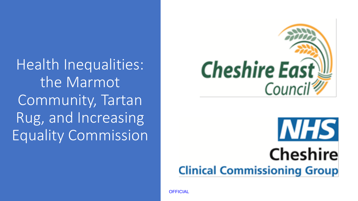Health Inequalities: the Marmot Community, Tartan Rug, and Increasing Equality Commission



## *INHS* Cheshire **Clinical Commissioning Group**

**OFFICIAL**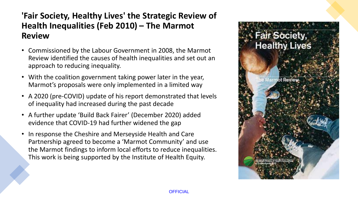## **'Fair Society, Healthy Lives' the Strategic Review of Health Inequalities (Feb 2010) – The Marmot Review**

- Commissioned by the Labour Government in 2008, the Marmot Review identified the causes of health inequalities and set out an approach to reducing inequality.
- With the coalition government taking power later in the year, Marmot's proposals were only implemented in a limited way
- A 2020 (pre-COVID) update of his report demonstrated that levels of inequality had increased during the past decade
- A further update 'Build Back Fairer' (December 2020) added evidence that COVID-19 had further widened the gap
- In response the Cheshire and Merseyside Health and Care Partnership agreed to become a 'Marmot Community' and use the Marmot findings to inform local efforts to reduce inequalities. This work is being supported by the Institute of Health Equity.